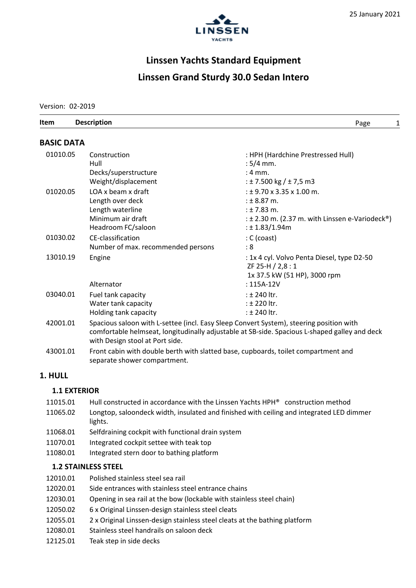

# Linssen Yachts Standard Equipment Linssen Grand Sturdy 30.0 Sedan Intero

Version: 02-2019

| Item              | <b>Description</b> | Page |  |
|-------------------|--------------------|------|--|
| <b>BASIC DATA</b> |                    |      |  |

| 01010.05 | Construction<br>Hull<br>Decks/superstructure<br>Weight/displacement                                                                                                                                                         | : HPH (Hardchine Prestressed Hull)<br>$:5/4$ mm.<br>$: 4 \text{ mm}.$<br>: $\pm$ 7.500 kg / $\pm$ 7,5 m3                                                 |  |
|----------|-----------------------------------------------------------------------------------------------------------------------------------------------------------------------------------------------------------------------------|----------------------------------------------------------------------------------------------------------------------------------------------------------|--|
| 01020.05 | LOA x beam x draft<br>Length over deck<br>Length waterline<br>Minimum air draft<br>Headroom FC/saloon                                                                                                                       | $: 19.70 \times 3.35 \times 1.00$ m.<br>: $± 8.87$ m.<br>$: 1.83$ m.<br>: $\pm$ 2.30 m. (2.37 m. with Linssen e-Variodeck <sup>®</sup> )<br>: 1.83/1.94m |  |
| 01030.02 | CE-classification<br>Number of max. recommended persons                                                                                                                                                                     | $: C$ (coast)<br>: 8                                                                                                                                     |  |
| 13010.19 | Engine<br>Alternator                                                                                                                                                                                                        | : 1x 4 cyl. Volvo Penta Diesel, type D2-50<br>ZF 25-H / 2,8:1<br>1x 37.5 kW (51 HP), 3000 rpm<br>$: 115A-12V$                                            |  |
| 03040.01 | Fuel tank capacity<br>Water tank capacity<br>Holding tank capacity                                                                                                                                                          | : ± 240 ltr.<br>$:$ $\pm$ 220 ltr.<br>$:$ $\pm$ 240 ltr.                                                                                                 |  |
| 42001.01 | Spacious saloon with L-settee (incl. Easy Sleep Convert System), steering position with<br>comfortable helmseat, longitudinally adjustable at SB-side. Spacious L-shaped galley and deck<br>with Design stool at Port side. |                                                                                                                                                          |  |
| 43001.01 | Front cabin with double berth with slatted base, cupboards, toilet compartment and                                                                                                                                          |                                                                                                                                                          |  |

### 1. HULL

# 1.1 EXTERIOR

- 11015.01 Hull constructed in accordance with the Linssen Yachts HPH® construction method
- 11065.02 Longtop, saloondeck width, insulated and finished with ceiling and integrated LED dimmer lights.
- 11068.01 Selfdraining cockpit with functional drain system

separate shower compartment.

- 11070.01 Integrated cockpit settee with teak top
- 11080.01 Integrated stern door to bathing platform

# 1.2 STAINLESS STEEL

- 12010.01 Polished stainless steel sea rail
- 12020.01 Side entrances with stainless steel entrance chains
- 12030.01 Opening in sea rail at the bow (lockable with stainless steel chain)
- 12050.02 6 x Original Linssen-design stainless steel cleats
- 12055.01 2 x Original Linssen-design stainless steel cleats at the bathing platform
- 12080.01 Stainless steel handrails on saloon deck
- 12125.01 Teak step in side decks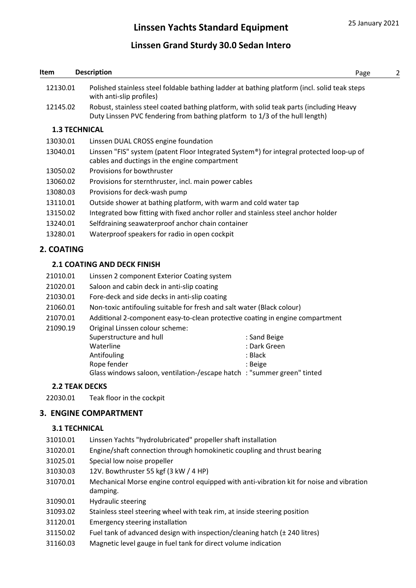# Linssen Grand Sturdy 30.0 Sedan Intero

| Item                 | <b>Description</b>                                                                                                                                                     | Page                                                                          | 2 |  |
|----------------------|------------------------------------------------------------------------------------------------------------------------------------------------------------------------|-------------------------------------------------------------------------------|---|--|
| 12130.01             | Polished stainless steel foldable bathing ladder at bathing platform (incl. solid teak steps<br>with anti-slip profiles)                                               |                                                                               |   |  |
| 12145.02             | Robust, stainless steel coated bathing platform, with solid teak parts (including Heavy<br>Duty Linssen PVC fendering from bathing platform to 1/3 of the hull length) |                                                                               |   |  |
|                      | <b>1.3 TECHNICAL</b>                                                                                                                                                   |                                                                               |   |  |
| 13030.01             | Linssen DUAL CROSS engine foundation                                                                                                                                   |                                                                               |   |  |
| 13040.01             | Linssen "FIS" system (patent Floor Integrated System®) for integral protected loop-up of<br>cables and ductings in the engine compartment                              |                                                                               |   |  |
| 13050.02             | Provisions for bowthruster                                                                                                                                             |                                                                               |   |  |
| 13060.02             | Provisions for sternthruster, incl. main power cables                                                                                                                  |                                                                               |   |  |
| 13080.03             | Provisions for deck-wash pump                                                                                                                                          |                                                                               |   |  |
| 13110.01             | Outside shower at bathing platform, with warm and cold water tap                                                                                                       |                                                                               |   |  |
| 13150.02             | Integrated bow fitting with fixed anchor roller and stainless steel anchor holder                                                                                      |                                                                               |   |  |
| 13240.01             |                                                                                                                                                                        | Selfdraining seawaterproof anchor chain container                             |   |  |
| 13280.01             | Waterproof speakers for radio in open cockpit                                                                                                                          |                                                                               |   |  |
| 2. COATING           |                                                                                                                                                                        |                                                                               |   |  |
|                      | <b>2.1 COATING AND DECK FINISH</b>                                                                                                                                     |                                                                               |   |  |
| 21010.01             | Linssen 2 component Exterior Coating system                                                                                                                            |                                                                               |   |  |
| 21020.01             | Saloon and cabin deck in anti-slip coating                                                                                                                             |                                                                               |   |  |
| 21030.01             | Fore-deck and side decks in anti-slip coating                                                                                                                          |                                                                               |   |  |
| 21060.01             |                                                                                                                                                                        | Non-toxic antifouling suitable for fresh and salt water (Black colour)        |   |  |
| 21070.01             |                                                                                                                                                                        | Additional 2-component easy-to-clean protective coating in engine compartment |   |  |
| 21090.19             | Original Linssen colour scheme:                                                                                                                                        |                                                                               |   |  |
|                      | Superstructure and hull                                                                                                                                                | : Sand Beige                                                                  |   |  |
|                      | Waterline                                                                                                                                                              | : Dark Green                                                                  |   |  |
|                      | Antifouling<br>Rope fender                                                                                                                                             | : Black<br>: Beige                                                            |   |  |
|                      | Glass windows saloon, ventilation-/escape hatch: "summer green" tinted                                                                                                 |                                                                               |   |  |
|                      | <b>2.2 TEAK DECKS</b>                                                                                                                                                  |                                                                               |   |  |
| 22030.01             | Teak floor in the cockpit                                                                                                                                              |                                                                               |   |  |
|                      | <b>3. ENGINE COMPARTMENT</b>                                                                                                                                           |                                                                               |   |  |
|                      | <b>3.1 TECHNICAL</b>                                                                                                                                                   |                                                                               |   |  |
| 31010.01             |                                                                                                                                                                        |                                                                               |   |  |
|                      | Linssen Yachts "hydrolubricated" propeller shaft installation                                                                                                          |                                                                               |   |  |
| 31020.01<br>31025.01 | Engine/shaft connection through homokinetic coupling and thrust bearing                                                                                                |                                                                               |   |  |
| 31030.03             | Special low noise propeller                                                                                                                                            |                                                                               |   |  |
|                      | 12V. Bowthruster 55 kgf (3 kW / 4 HP)                                                                                                                                  |                                                                               |   |  |
| 31070.01             | Mechanical Morse engine control equipped with anti-vibration kit for noise and vibration<br>damping.                                                                   |                                                                               |   |  |

- 31090.01 Hydraulic steering
- 31093.02 Stainless steel steering wheel with teak rim, at inside steering position
- 31120.01 Emergency steering installation
- 31150.02 Fuel tank of advanced design with inspection/cleaning hatch (± 240 litres)
- 31160.03 Magnetic level gauge in fuel tank for direct volume indication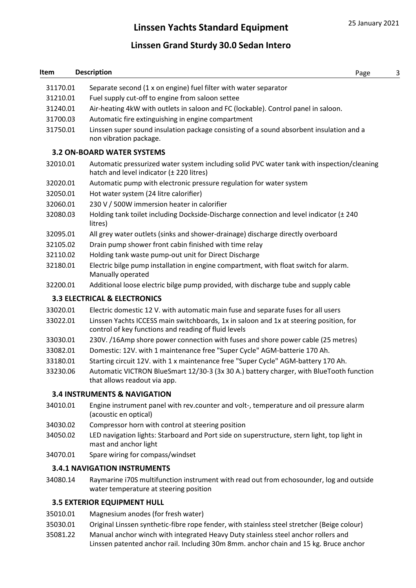# Linssen Grand Sturdy 30.0 Sedan Intero

# **Item Description** 2008 **Page 3** 31170.01 Separate second (1 x on engine) fuel filter with water separator 31210.01 Fuel supply cut-off to engine from saloon settee 31240.01 Air-heating 4kW with outlets in saloon and FC (lockable). Control panel in saloon. 31700.03 Automatic fire extinguishing in engine compartment 31750.01 Linssen super sound insulation package consisting of a sound absorbent insulation and a non vibration package. 3.2 ON-BOARD WATER SYSTEMS 32010.01 Automatic pressurized water system including solid PVC water tank with inspection/cleaning hatch and level indicator (± 220 litres) 32020.01 Automatic pump with electronic pressure regulation for water system 32050.01 Hot water system (24 litre calorifier) 32060.01 230 V / 500W immersion heater in calorifier 32080.03 Holding tank toilet including Dockside-Discharge connection and level indicator (± 240 litres) 32095.01 All grey water outlets (sinks and shower-drainage) discharge directly overboard 32105.02 Drain pump shower front cabin finished with time relay 32110.02 Holding tank waste pump-out unit for Direct Discharge 32180.01 Electric bilge pump installation in engine compartment, with float switch for alarm. Manually operated 32200.01 Additional loose electric bilge pump provided, with discharge tube and supply cable 3.3 ELECTRICAL & ELECTRONICS 33020.01 Electric domestic 12 V. with automatic main fuse and separate fuses for all users 33022.01 Linssen Yachts ICCESS main switchboards, 1x in saloon and 1x at steering position, for control of key functions and reading of fluid levels 33030.01 230V. /16Amp shore power connection with fuses and shore power cable (25 metres)

- 33082.01 Domestic: 12V. with 1 maintenance free "Super Cycle" AGM-batterie 170 Ah.
- 33180.01 Starting circuit 12V. with 1 x maintenance free "Super Cycle" AGM-battery 170 Ah.
- 33230.06 Automatic VICTRON BlueSmart 12/30-3 (3x 30 A.) battery charger, with BlueTooth function that allows readout via app.

### 3.4 INSTRUMENTS & NAVIGATION

- 34010.01 Engine instrument panel with rev.counter and volt-, temperature and oil pressure alarm (acoustic en optical)
- 34030.02 Compressor horn with control at steering position
- 34050.02 LED navigation lights: Starboard and Port side on superstructure, stern light, top light in mast and anchor light
- 34070.01 Spare wiring for compass/windset

### 3.4.1 NAVIGATION INSTRUMENTS

34080.14 Raymarine i70S multifunction instrument with read out from echosounder, log and outside water temperature at steering position

### 3.5 EXTERIOR EQUIPMENT HULL

- 35010.01 Magnesium anodes (for fresh water)
- 35030.01 Original Linssen synthetic-fibre rope fender, with stainless steel stretcher (Beige colour)
- 35081.22 Manual anchor winch with integrated Heavy Duty stainless steel anchor rollers and Linssen patented anchor rail. Including 30m 8mm. anchor chain and 15 kg. Bruce anchor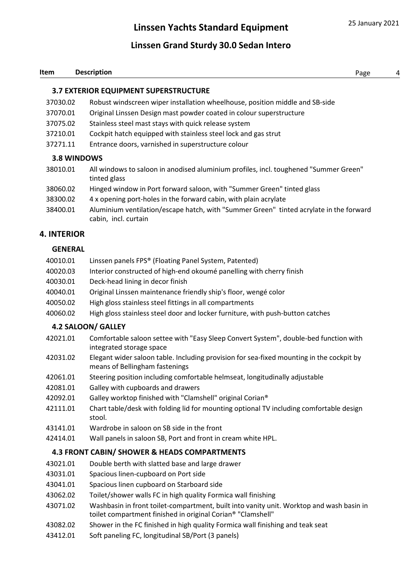# Linssen Grand Sturdy 30.0 Sedan Intero

#### **Item Description** 2008 **Page 4**

# 3.7 EXTERIOR EQUIPMENT SUPERSTRUCTURE

- 37030.02 Robust windscreen wiper installation wheelhouse, position middle and SB-side
- 37070.01 Original Linssen Design mast powder coated in colour superstructure
- 37075.02 Stainless steel mast stays with quick release system
- 37210.01 Cockpit hatch equipped with stainless steel lock and gas strut
- 37271.11 Entrance doors, varnished in superstructure colour

# 3.8 WINDOWS

- 38010.01 All windows to saloon in anodised aluminium profiles, incl. toughened "Summer Green" tinted glass
- 38060.02 Hinged window in Port forward saloon, with "Summer Green" tinted glass
- 38300.02 4 x opening port-holes in the forward cabin, with plain acrylate
- 38400.01 Aluminium ventilation/escape hatch, with "Summer Green" tinted acrylate in the forward cabin, incl. curtain

# 4. INTERIOR

#### **GENERAL**

- 40010.01 Linssen panels FPS® (Floating Panel System, Patented)
- 40020.03 Interior constructed of high-end okoumé panelling with cherry finish
- 40030.01 Deck-head lining in decor finish
- 40040.01 Original Linssen maintenance friendly ship's floor, wengé color
- 40050.02 High gloss stainless steel fittings in all compartments
- 40060.02 High gloss stainless steel door and locker furniture, with push-button catches

### 4.2 SALOON/ GALLEY

- 42021.01 Comfortable saloon settee with "Easy Sleep Convert System", double-bed function with integrated storage space
- 42031.02 Elegant wider saloon table. Including provision for sea-fixed mounting in the cockpit by means of Bellingham fastenings
- 42061.01 Steering position including comfortable helmseat, longitudinally adjustable
- 42081.01 Galley with cupboards and drawers
- 42092.01 Galley worktop finished with "Clamshell" original Corian®
- 42111.01 Chart table/desk with folding lid for mounting optional TV including comfortable design stool.
- 43141.01 Wardrobe in saloon on SB side in the front
- 42414.01 Wall panels in saloon SB, Port and front in cream white HPL.

### 4.3 FRONT CABIN/ SHOWER & HEADS COMPARTMENTS

- 43021.01 Double berth with slatted base and large drawer
- 43031.01 Spacious linen-cupboard on Port side
- 43041.01 Spacious linen cupboard on Starboard side
- 43062.02 Toilet/shower walls FC in high quality Formica wall finishing
- 43071.02 Washbasin in front toilet-compartment, built into vanity unit. Worktop and wash basin in toilet compartment finished in original Corian® "Clamshell"
- 43082.02 Shower in the FC finished in high quality Formica wall finishing and teak seat
- 43412.01 Soft paneling FC, longitudinal SB/Port (3 panels)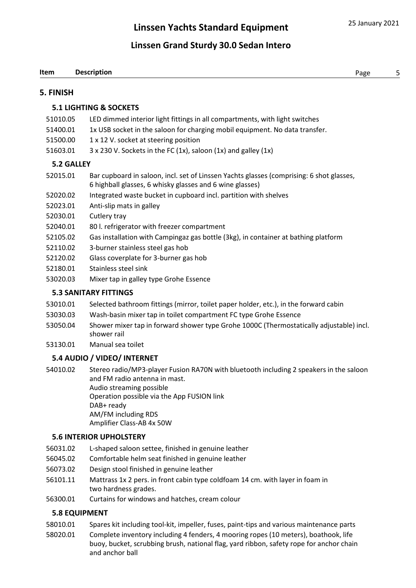### 5. FINISH

# 5.1 LIGHTING & SOCKETS

- 51010.05 LED dimmed interior light fittings in all compartments, with light switches
- 51400.01 1x USB socket in the saloon for charging mobil equipment. No data transfer.
- 51500.00 1 x 12 V. socket at steering position
- 51603.01  $3 \times 230$  V. Sockets in the FC (1x), saloon (1x) and galley (1x)

# 5.2 GALLEY

- 52015.01 Bar cupboard in saloon, incl. set of Linssen Yachts glasses (comprising: 6 shot glasses, 6 highball glasses, 6 whisky glasses and 6 wine glasses)
- 52020.02 Integrated waste bucket in cupboard incl. partition with shelves
- 52023.01 Anti-slip mats in galley
- 52030.01 Cutlery tray
- 52040.01 80 l. refrigerator with freezer compartment
- 52105.02 Gas installation with Campingaz gas bottle (3kg), in container at bathing platform
- 52110.02 3-burner stainless steel gas hob
- 52120.02 Glass coverplate for 3-burner gas hob
- 52180.01 Stainless steel sink
- 53020.03 Mixer tap in galley type Grohe Essence

# 5.3 SANITARY FITTINGS

- 53010.01 Selected bathroom fittings (mirror, toilet paper holder, etc.), in the forward cabin
- 53030.03 Wash-basin mixer tap in toilet compartment FC type Grohe Essence
- 53050.04 Shower mixer tap in forward shower type Grohe 1000C (Thermostatically adjustable) incl. shower rail
- 53130.01 Manual sea toilet

# 5.4 AUDIO / VIDEO/ INTERNET

54010.02 Stereo radio/MP3-player Fusion RA70N with bluetooth including 2 speakers in the saloon and FM radio antenna in mast. Audio streaming possible Operation possible via the App FUSION link DAB+ ready AM/FM including RDS Amplifier Class-AB 4x 50W

### 5.6 INTERIOR UPHOLSTERY

- 56031.02 L-shaped saloon settee, finished in genuine leather
- 56045.02 Comfortable helm seat finished in genuine leather
- 56073.02 Design stool finished in genuine leather
- 56101.11 Mattrass 1x 2 pers. in front cabin type coldfoam 14 cm. with layer in foam in two hardness grades.
- 56300.01 Curtains for windows and hatches, cream colour

# 5.8 EQUIPMENT

- 58010.01 Spares kit including tool-kit, impeller, fuses, paint-tips and various maintenance parts
- 58020.01 Complete inventory including 4 fenders, 4 mooring ropes (10 meters), boathook, life buoy, bucket, scrubbing brush, national flag, yard ribbon, safety rope for anchor chain and anchor ball